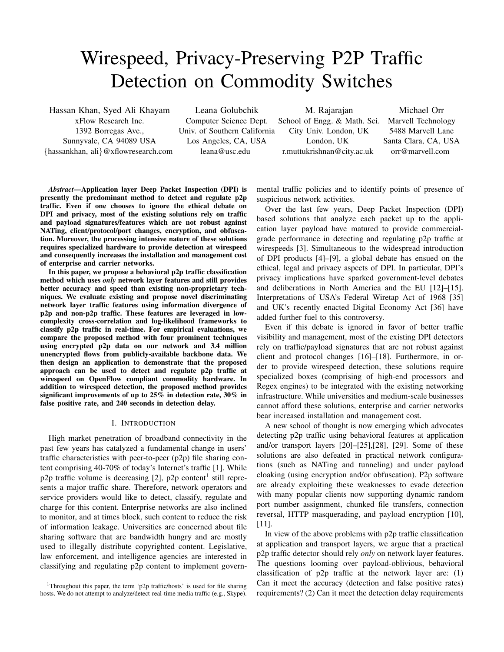# Wirespeed, Privacy-Preserving P2P Traffic Detection on Commodity Switches

Hassan Khan, Syed Ali Khayam xFlow Research Inc. 1392 Borregas Ave., Sunnyvale, CA 94089 USA {hassankhan, ali}@xflowresearch.com

Leana Golubchik Computer Science Dept. Univ. of Southern California Los Angeles, CA, USA leana@usc.edu

M. Rajarajan School of Engg. & Math. Sci. City Univ. London, UK London, UK r.muttukrishnan@city.ac.uk

Michael Orr Marvell Technology 5488 Marvell Lane Santa Clara, CA, USA orr@marvell.com

*Abstract***—Application layer Deep Packet Inspection (DPI) is presently the predominant method to detect and regulate p2p traffic. Even if one chooses to ignore the ethical debate on DPI and privacy, most of the existing solutions rely on traffic and payload signatures/features which are not robust against NATing, client/protocol/port changes, encryption, and obfuscation. Moreover, the processing intensive nature of these solutions requires specialized hardware to provide detection at wirespeed and consequently increases the installation and management cost of enterprise and carrier networks.**

**In this paper, we propose a behavioral p2p traffic classification method which uses** *only* **network layer features and still provides better accuracy and speed than existing non-proprietary techniques. We evaluate existing and propose novel discriminating network layer traffic features using information divergence of p2p and non-p2p traffic. These features are leveraged in lowcomplexity cross-correlation and log-likelihood frameworks to classify p2p traffic in real-time. For empirical evaluations, we compare the proposed method with four prominent techniques using encrypted p2p data on our network and 3.4 million unencrypted flows from publicly-available backbone data. We then design an application to demonstrate that the proposed approach can be used to detect and regulate p2p traffic at wirespeed on OpenFlow compliant commodity hardware. In addition to wirespeed detection, the proposed method provides significant improvements of up to 25% in detection rate, 30% in false positive rate, and 240 seconds in detection delay.**

#### I. INTRODUCTION

High market penetration of broadband connectivity in the past few years has catalyzed a fundamental change in users' traffic characteristics with peer-to-peer (p2p) file sharing content comprising 40-70% of today's Internet's traffic [1]. While p2p traffic volume is decreasing [2], p2p content<sup>1</sup> still represents a major traffic share. Therefore, network operators and service providers would like to detect, classify, regulate and charge for this content. Enterprise networks are also inclined to monitor, and at times block, such content to reduce the risk of information leakage. Universities are concerned about file sharing software that are bandwidth hungry and are mostly used to illegally distribute copyrighted content. Legislative, law enforcement, and intelligence agencies are interested in classifying and regulating p2p content to implement govern-

<sup>1</sup>Throughout this paper, the term 'p2p traffic/hosts' is used for file sharing hosts. We do not attempt to analyze/detect real-time media traffic (e.g., Skype). mental traffic policies and to identify points of presence of suspicious network activities.

Over the last few years, Deep Packet Inspection (DPI) based solutions that analyze each packet up to the application layer payload have matured to provide commercialgrade performance in detecting and regulating p2p traffic at wirespeeds [3]. Simultaneous to the widespread introduction of DPI products [4]–[9], a global debate has ensued on the ethical, legal and privacy aspects of DPI. In particular, DPI's privacy implications have sparked government-level debates and deliberations in North America and the EU [12]–[15]. Interpretations of USA's Federal Wiretap Act of 1968 [35] and UK's recently enacted Digital Economy Act [36] have added further fuel to this controversy.

Even if this debate is ignored in favor of better traffic visibility and management, most of the existing DPI detectors rely on traffic/payload signatures that are not robust against client and protocol changes [16]–[18]. Furthermore, in order to provide wirespeed detection, these solutions require specialized boxes (comprising of high-end processors and Regex engines) to be integrated with the existing networking infrastructure. While universities and medium-scale businesses cannot afford these solutions, enterprise and carrier networks bear increased installation and management cost.

A new school of thought is now emerging which advocates detecting p2p traffic using behavioral features at application and/or transport layers [20]–[25],[28], [29]. Some of these solutions are also defeated in practical network configurations (such as NATing and tunneling) and under payload cloaking (using encryption and/or obfuscation). P2p software are already exploiting these weaknesses to evade detection with many popular clients now supporting dynamic random port number assignment, chunked file transfers, connection reversal, HTTP masquerading, and payload encryption [10], [11].

In view of the above problems with p2p traffic classification at application and transport layers, we argue that a practical p2p traffic detector should rely *only* on network layer features. The questions looming over payload-oblivious, behavioral classification of  $p2p$  traffic at the network layer are: (1) Can it meet the accuracy (detection and false positive rates) requirements? (2) Can it meet the detection delay requirements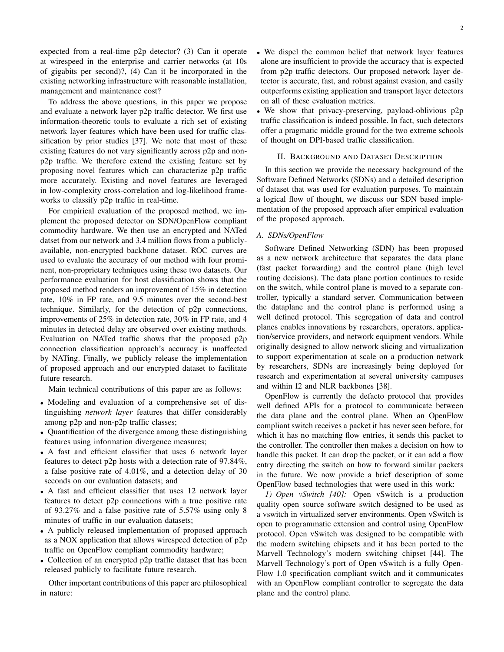expected from a real-time p2p detector? (3) Can it operate at wirespeed in the enterprise and carrier networks (at 10s of gigabits per second)?, (4) Can it be incorporated in the existing networking infrastructure with reasonable installation, management and maintenance cost?

To address the above questions, in this paper we propose and evaluate a network layer p2p traffic detector. We first use information-theoretic tools to evaluate a rich set of existing network layer features which have been used for traffic classification by prior studies [37]. We note that most of these existing features do not vary significantly across p2p and nonp2p traffic. We therefore extend the existing feature set by proposing novel features which can characterize p2p traffic more accurately. Existing and novel features are leveraged in low-complexity cross-correlation and log-likelihood frameworks to classify p2p traffic in real-time.

For empirical evaluation of the proposed method, we implement the proposed detector on SDN/OpenFlow compliant commodity hardware. We then use an encrypted and NATed datset from our network and 3.4 million flows from a publiclyavailable, non-encrypted backbone dataset. ROC curves are used to evaluate the accuracy of our method with four prominent, non-proprietary techniques using these two datasets. Our performance evaluation for host classification shows that the proposed method renders an improvement of 15% in detection rate, 10% in FP rate, and 9.5 minutes over the second-best technique. Similarly, for the detection of p2p connections, improvements of 25% in detection rate, 30% in FP rate, and 4 minutes in detected delay are observed over existing methods. Evaluation on NATed traffic shows that the proposed p2p connection classification approach's accuracy is unaffected by NATing. Finally, we publicly release the implementation of proposed approach and our encrypted dataset to facilitate future research.

Main technical contributions of this paper are as follows:

- Modeling and evaluation of a comprehensive set of distinguishing *network layer* features that differ considerably among p2p and non-p2p traffic classes;
- Quantification of the divergence among these distinguishing features using information divergence measures;
- A fast and efficient classifier that uses 6 network layer features to detect p2p hosts with a detection rate of 97.84%, a false positive rate of 4.01%, and a detection delay of 30 seconds on our evaluation datasets; and
- A fast and efficient classifier that uses 12 network layer features to detect p2p connections with a true positive rate of 93.27% and a false positive rate of 5.57% using only 8 minutes of traffic in our evaluation datasets;
- A publicly released implementation of proposed approach as a NOX application that allows wirespeed detection of p2p traffic on OpenFlow compliant commodity hardware;
- Collection of an encrypted p2p traffic dataset that has been released publicly to facilitate future research.

Other important contributions of this paper are philosophical in nature:

- We dispel the common belief that network layer features alone are insufficient to provide the accuracy that is expected from p2p traffic detectors. Our proposed network layer detector is accurate, fast, and robust against evasion, and easily outperforms existing application and transport layer detectors on all of these evaluation metrics.
- We show that privacy-preserving, payload-oblivious p2p traffic classification is indeed possible. In fact, such detectors offer a pragmatic middle ground for the two extreme schools of thought on DPI-based traffic classification.

#### II. BACKGROUND AND DATASET DESCRIPTION

In this section we provide the necessary background of the Software Defined Networks (SDNs) and a detailed description of dataset that was used for evaluation purposes. To maintain a logical flow of thought, we discuss our SDN based implementation of the proposed approach after empirical evaluation of the proposed approach.

# *A. SDNs/OpenFlow*

Software Defined Networking (SDN) has been proposed as a new network architecture that separates the data plane (fast packet forwarding) and the control plane (high level routing decisions). The data plane portion continues to reside on the switch, while control plane is moved to a separate controller, typically a standard server. Communication between the dataplane and the control plane is performed using a well defined protocol. This segregation of data and control planes enables innovations by researchers, operators, application/service providers, and network equipment vendors. While originally designed to allow network slicing and virtualization to support experimentation at scale on a production network by researchers, SDNs are increasingly being deployed for research and experimentation at several university campuses and within I2 and NLR backbones [38].

OpenFlow is currently the defacto protocol that provides well defined APIs for a protocol to communicate between the data plane and the control plane. When an OpenFlow compliant switch receives a packet it has never seen before, for which it has no matching flow entries, it sends this packet to the controller. The controller then makes a decision on how to handle this packet. It can drop the packet, or it can add a flow entry directing the switch on how to forward similar packets in the future. We now provide a brief description of some OpenFlow based technologies that were used in this work:

*1) Open vSwitch [40]:* Open vSwitch is a production quality open source software switch designed to be used as a vswitch in virtualized server environments. Open vSwitch is open to programmatic extension and control using OpenFlow protocol. Open vSwitch was designed to be compatible with the modern switching chipsets and it has been ported to the Marvell Technology's modern switching chipset [44]. The Marvell Technology's port of Open vSwitch is a fully Open-Flow 1.0 specification compliant switch and it communicates with an OpenFlow compliant controller to segregate the data plane and the control plane.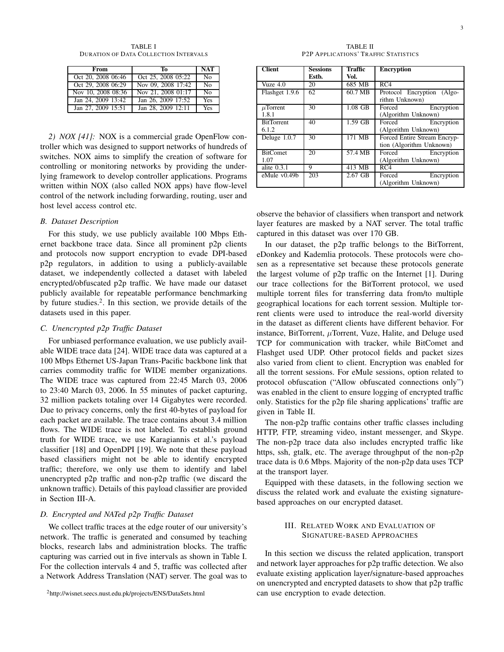TABLE I DURATION OF DATA COLLECTION INTERVALS

| From               | To                 | <b>NAT</b>     |
|--------------------|--------------------|----------------|
| Oct 20, 2008 06:46 | Oct 25, 2008 05:22 | No             |
| Oct 29, 2008 06:29 | Nov 09, 2008 17:42 | N <sub>0</sub> |
| Nov 10, 2008 08:36 | Nov 21, 2008 01:17 | N <sub>0</sub> |
| Jan 24, 2009 13:42 | Jan 26, 2009 17:52 | Yes            |
| Jan 27, 2009 15:51 | Jan 28, 2009 12:11 | Yes            |

*2) NOX [41]:* NOX is a commercial grade OpenFlow controller which was designed to support networks of hundreds of switches. NOX aims to simplify the creation of software for controlling or monitoring networks by providing the underlying framework to develop controller applications. Programs written within NOX (also called NOX apps) have flow-level control of the network including forwarding, routing, user and host level access control etc.

# *B. Dataset Description*

For this study, we use publicly available 100 Mbps Ethernet backbone trace data. Since all prominent p2p clients and protocols now support encryption to evade DPI-based p2p regulators, in addition to using a publicly-available dataset, we independently collected a dataset with labeled encrypted/obfuscated p2p traffic. We have made our dataset publicly available for repeatable performance benchmarking by future studies.<sup>2</sup>. In this section, we provide details of the datasets used in this paper.

# *C. Unencrypted p2p Traffic Dataset*

For unbiased performance evaluation, we use publicly available WIDE trace data [24]. WIDE trace data was captured at a 100 Mbps Ethernet US-Japan Trans-Pacific backbone link that carries commodity traffic for WIDE member organizations. The WIDE trace was captured from 22:45 March 03, 2006 to 23:40 March 03, 2006. In 55 minutes of packet capturing, 32 million packets totaling over 14 Gigabytes were recorded. Due to privacy concerns, only the first 40-bytes of payload for each packet are available. The trace contains about 3.4 million flows. The WIDE trace is not labeled. To establish ground truth for WIDE trace, we use Karagiannis et al.'s payload classifier [18] and OpenDPI [19]. We note that these payload based classifiers might not be able to identify encrypted traffic; therefore, we only use them to identify and label unencrypted p2p traffic and non-p2p traffic (we discard the unknown traffic). Details of this payload classifier are provided in Section III-A.

## *D. Encrypted and NATed p2p Traffic Dataset*

We collect traffic traces at the edge router of our university's network. The traffic is generated and consumed by teaching blocks, research labs and administration blocks. The traffic capturing was carried out in five intervals as shown in Table I. For the collection intervals 4 and 5, traffic was collected after a Network Address Translation (NAT) server. The goal was to

TABLE II P2P APPLICATIONS' TRAFFIC STATISTICS

| <b>Client</b>     | <b>Sessions</b> | <b>Traffic</b> | <b>Encryption</b>            |
|-------------------|-----------------|----------------|------------------------------|
|                   | Esth.           | Vol.           |                              |
| Vuze $4.0$        | 20              | 685 MB         | RC4                          |
| Flashget 1.9.6    | 62              | 60.7 MB        | Protocol Encryption (Algo-   |
|                   |                 |                | rithm Unknown)               |
| $\mu$ Torrent     | 30              | $1.08$ GB      | Encryption<br>Forced         |
| 1.8.1             |                 |                | (Algorithm Unknown)          |
| <b>BitTorrent</b> | 40              | 1.59 GB        | Forced Encryption            |
| 6.1.2             |                 |                | (Algorithm Unknown)          |
| Deluge 1.0.7      | 30              | 171 MB         | Forced Entire Stream Encryp- |
|                   |                 |                | tion (Algorithm Unknown)     |
| <b>BitComet</b>   | 20              | 57.4 MB        | Forced<br>Encryption         |
| 1.07              |                 |                | (Algorithm Unknown)          |
| alite $0.3.1$     | 9               | 413 MB         | RC4                          |
| eMule $v0.49b$    | 203             | $2.67$ GB      | Forced<br>Encryption         |
|                   |                 |                | (Algorithm Unknown)          |

observe the behavior of classifiers when transport and network layer features are masked by a NAT server. The total traffic captured in this dataset was over 170 GB.

In our dataset, the p2p traffic belongs to the BitTorrent, eDonkey and Kademlia protocols. These protocols were chosen as a representative set because these protocols generate the largest volume of p2p traffic on the Internet [1]. During our trace collections for the BitTorrent protocol, we used multiple torrent files for transferring data from/to multiple geographical locations for each torrent session. Multiple torrent clients were used to introduce the real-world diversity in the dataset as different clients have different behavior. For instance, BitTorrent,  $\mu$ Torrent, Vuze, Halite, and Deluge used TCP for communication with tracker, while BitComet and Flashget used UDP. Other protocol fields and packet sizes also varied from client to client. Encryption was enabled for all the torrent sessions. For eMule sessions, option related to protocol obfuscation ("Allow obfuscated connections only") was enabled in the client to ensure logging of encrypted traffic only. Statistics for the p2p file sharing applications' traffic are given in Table II.

The non-p2p traffic contains other traffic classes including HTTP, FTP, streaming video, instant messenger, and Skype. The non-p2p trace data also includes encrypted traffic like https, ssh, gtalk, etc. The average throughput of the non-p2p trace data is 0.6 Mbps. Majority of the non-p2p data uses TCP at the transport layer.

Equipped with these datasets, in the following section we discuss the related work and evaluate the existing signaturebased approaches on our encrypted dataset.

# III. RELATED WORK AND EVALUATION OF SIGNATURE-BASED APPROACHES

In this section we discuss the related application, transport and network layer approaches for p2p traffic detection. We also evaluate existing application layer/signature-based approaches on unencrypted and encrypted datasets to show that p2p traffic can use encryption to evade detection.

<sup>2</sup>http://wisnet.seecs.nust.edu.pk/projects/ENS/DataSets.html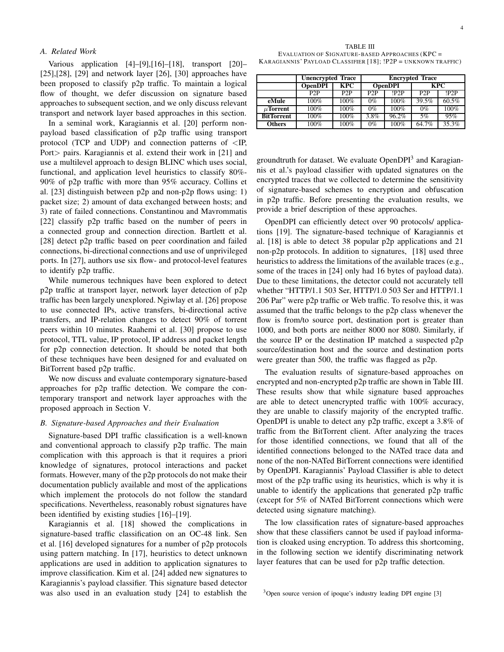## *A. Related Work*

Various application [4]–[9],[16]–[18], transport [20]–  $[25]$ ,  $[28]$ ,  $[29]$  and network layer  $[26]$ ,  $[30]$  approaches have been proposed to classify p2p traffic. To maintain a logical flow of thought, we defer discussion on signature based approaches to subsequent section, and we only discuss relevant transport and network layer based approaches in this section.

In a seminal work, Karagiannis et al. [20] perform nonpayload based classification of p2p traffic using transport protocol (TCP and UDP) and connection patterns of  $\langle IP,$ Port> pairs. Karagiannis et al. extend their work in [21] and use a multilevel approach to design BLINC which uses social, functional, and application level heuristics to classify 80%- 90% of p2p traffic with more than 95% accuracy. Collins et al. [23] distinguish between p2p and non-p2p flows using: 1) packet size; 2) amount of data exchanged between hosts; and 3) rate of failed connections. Constantinou and Mavrommatis [22] classify p2p traffic based on the number of peers in a connected group and connection direction. Bartlett et al. [28] detect p2p traffic based on peer coordination and failed connections, bi-directional connections and use of unprivileged ports. In [27], authors use six flow- and protocol-level features to identify p2p traffic.

While numerous techniques have been explored to detect p2p traffic at transport layer, network layer detection of p2p traffic has been largely unexplored. Ngiwlay et al. [26] propose to use connected IPs, active transfers, bi-directional active transfers, and IP-relation changes to detect 90% of torrent peers within 10 minutes. Raahemi et al. [30] propose to use protocol, TTL value, IP protocol, IP address and packet length for p2p connection detection. It should be noted that both of these techniques have been designed for and evaluated on BitTorrent based p2p traffic.

We now discuss and evaluate contemporary signature-based approaches for p2p traffic detection. We compare the contemporary transport and network layer approaches with the proposed approach in Section V.

# *B. Signature-based Approaches and their Evaluation*

Signature-based DPI traffic classification is a well-known and conventional approach to classify p2p traffic. The main complication with this approach is that it requires a priori knowledge of signatures, protocol interactions and packet formats. However, many of the p2p protocols do not make their documentation publicly available and most of the applications which implement the protocols do not follow the standard specifications. Nevertheless, reasonably robust signatures have been identified by existing studies [16]–[19].

Karagiannis et al. [18] showed the complications in signature-based traffic classification on an OC-48 link. Sen et al. [16] developed signatures for a number of p2p protocols using pattern matching. In [17], heuristics to detect unknown applications are used in addition to application signatures to improve classification. Kim et al. [24] added new signatures to Karagiannis's payload classifier. This signature based detector was also used in an evaluation study [24] to establish the

TABLE III EVALUATION OF SIGNATURE-BASED APPROACHES (KPC = KARAGIANNIS' PAYLOAD CLASS IFIER [18]; !P2P = UNKNOWN TRAFFIC)

|                   | <b>Unencrypted Trace</b> |                  | <b>Encrypted Trace</b> |       |            |       |
|-------------------|--------------------------|------------------|------------------------|-------|------------|-------|
|                   | <b>OpenDPI</b>           | <b>KPC</b>       | <b>OpenDPI</b>         |       | <b>KPC</b> |       |
|                   | P2P                      | P <sub>2</sub> P | P2P                    | 1P2P  | P2P        | 1P2P  |
| eMule             | 100%                     | 100%             | $0\%$                  | 100%  | 39.5%      | 60.5% |
| $\mu$ Torrent     | 100%                     | 100%             | $0\%$                  | 100%  | $0\%$      | 100%  |
| <b>BitTorrent</b> | 100%                     | 100%             | 3.8%                   | 96.2% | 5%         | 95%   |
| <b>Others</b>     | 100%                     | 100%             | $0\%$                  | 100%  | 64.7%      | 35.3% |

groundtruth for dataset. We evaluate OpenDPI<sup>3</sup> and Karagiannis et al.'s payload classifier with updated signatures on the encrypted traces that we collected to determine the sensitivity of signature-based schemes to encryption and obfuscation in p2p traffic. Before presenting the evaluation results, we provide a brief description of these approaches.

OpenDPI can efficiently detect over 90 protocols/ applications [19]. The signature-based technique of Karagiannis et al. [18] is able to detect 38 popular p2p applications and 21 non-p2p protocols. In addition to signatures, [18] used three heuristics to address the limitations of the available traces (e.g., some of the traces in [24] only had 16 bytes of payload data). Due to these limitations, the detector could not accurately tell whether "HTTP/1.1 503 Ser, HTTP/1.0 503 Ser and HTTP/1.1 206 Par" were p2p traffic or Web traffic. To resolve this, it was assumed that the traffic belongs to the p2p class whenever the flow is from/to source port, destination port is greater than 1000, and both ports are neither 8000 nor 8080. Similarly, if the source IP or the destination IP matched a suspected p2p source/destination host and the source and destination ports were greater than 500, the traffic was flagged as p2p.

The evaluation results of signature-based approaches on encrypted and non-encrypted p2p traffic are shown in Table III. These results show that while signature based approaches are able to detect unencrypted traffic with 100% accuracy, they are unable to classify majority of the encrypted traffic. OpenDPI is unable to detect any p2p traffic, except a 3.8% of traffic from the BitTorrent client. After analyzing the traces for those identified connections, we found that all of the identified connections belonged to the NATed trace data and none of the non-NATed BitTorrent connections were identified by OpenDPI. Karagiannis' Payload Classifier is able to detect most of the p2p traffic using its heuristics, which is why it is unable to identify the applications that generated p2p traffic (except for 5% of NATed BitTorrent connections which were detected using signature matching).

The low classification rates of signature-based approaches show that these classifiers cannot be used if payload information is cloaked using encryption. To address this shortcoming, in the following section we identify discriminating network layer features that can be used for p2p traffic detection.

<sup>3</sup>Open source version of ipoque's industry leading DPI engine [3]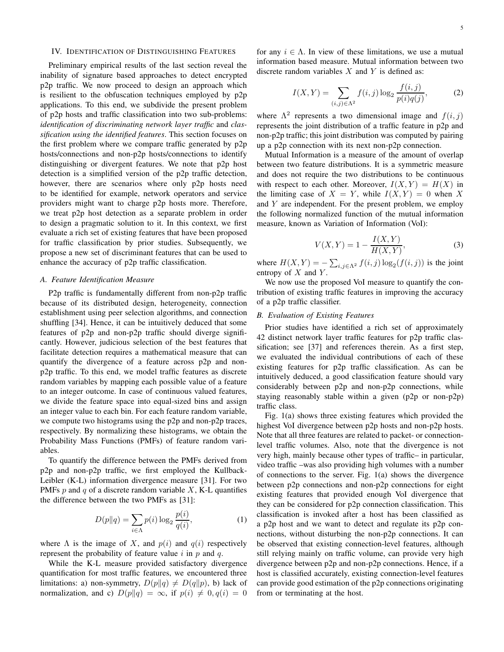## IV. IDENTIFICATION OF DISTINGUISHING FEATURES

Preliminary empirical results of the last section reveal the inability of signature based approaches to detect encrypted p2p traffic. We now proceed to design an approach which is resilient to the obfuscation techniques employed by p2p applications. To this end, we subdivide the present problem of p2p hosts and traffic classification into two sub-problems: *identification of discriminating network layer traffic* and *classification using the identified features*. This section focuses on the first problem where we compare traffic generated by p2p hosts/connections and non-p2p hosts/connections to identify distinguishing or divergent features. We note that p2p host detection is a simplified version of the p2p traffic detection, however, there are scenarios where only p2p hosts need to be identified for example, network operators and service providers might want to charge p2p hosts more. Therefore, we treat p2p host detection as a separate problem in order to design a pragmatic solution to it. In this context, we first evaluate a rich set of existing features that have been proposed for traffic classification by prior studies. Subsequently, we propose a new set of discriminant features that can be used to enhance the accuracy of p2p traffic classification.

# *A. Feature Identification Measure*

P2p traffic is fundamentally different from non-p2p traffic because of its distributed design, heterogeneity, connection establishment using peer selection algorithms, and connection shuffling [34]. Hence, it can be intuitively deduced that some features of p2p and non-p2p traffic should diverge significantly. However, judicious selection of the best features that facilitate detection requires a mathematical measure that can quantify the divergence of a feature across p2p and nonp2p traffic. To this end, we model traffic features as discrete random variables by mapping each possible value of a feature to an integer outcome. In case of continuous valued features, we divide the feature space into equal-sized bins and assign an integer value to each bin. For each feature random variable, we compute two histograms using the p2p and non-p2p traces, respectively. By normalizing these histograms, we obtain the Probability Mass Functions (PMFs) of feature random variables.

To quantify the difference between the PMFs derived from p2p and non-p2p traffic, we first employed the Kullback-Leibler (K-L) information divergence measure [31]. For two PMFs  $p$  and  $q$  of a discrete random variable  $X$ , K-L quantifies the difference between the two PMFs as [31]:

$$
D(p||q) = \sum_{i \in \Lambda} p(i) \log_2 \frac{p(i)}{q(i)},\tag{1}
$$

where  $\Lambda$  is the image of X, and  $p(i)$  and  $q(i)$  respectively represent the probability of feature value  $i$  in  $p$  and  $q$ .

While the K-L measure provided satisfactory divergence quantification for most traffic features, we encountered three limitations: a) non-symmetry,  $D(p||q) \neq D(q||p)$ , b) lack of normalization, and c)  $D(p||q) = \infty$ , if  $p(i) \neq 0, q(i) = 0$ 

for any  $i \in \Lambda$ . In view of these limitations, we use a mutual information based measure. Mutual information between two discrete random variables  $X$  and  $Y$  is defined as:

$$
I(X,Y) = \sum_{(i,j)\in\Lambda^2} f(i,j) \log_2 \frac{f(i,j)}{p(i)q(j)},
$$
 (2)

where  $\Lambda^2$  represents a two dimensional image and  $f(i, j)$ represents the joint distribution of a traffic feature in p2p and non-p2p traffic; this joint distribution was computed by pairing up a p2p connection with its next non-p2p connection.

Mutual Information is a measure of the amount of overlap between two feature distributions. It is a symmetric measure and does not require the two distributions to be continuous with respect to each other. Moreover,  $I(X, Y) = H(X)$  in the limiting case of  $X = Y$ , while  $I(X, Y) = 0$  when X and  $Y$  are independent. For the present problem, we employ the following normalized function of the mutual information measure, known as Variation of Information (VoI):

$$
V(X,Y) = 1 - \frac{I(X,Y)}{H(X,Y)},
$$
\n(3)

where  $H(X, Y) = -\sum_{i,j \in \Lambda^2} f(i,j) \log_2(f(i,j))$  is the joint entropy of  $X$  and  $Y$ .

We now use the proposed VoI measure to quantify the contribution of existing traffic features in improving the accuracy of a p2p traffic classifier.

# *B. Evaluation of Existing Features*

Prior studies have identified a rich set of approximately 42 distinct network layer traffic features for p2p traffic classification; see [37] and references therein. As a first step, we evaluated the individual contributions of each of these existing features for p2p traffic classification. As can be intuitively deduced, a good classification feature should vary considerably between p2p and non-p2p connections, while staying reasonably stable within a given (p2p or non-p2p) traffic class.

Fig. 1(a) shows three existing features which provided the highest VoI divergence between p2p hosts and non-p2p hosts. Note that all three features are related to packet- or connectionlevel traffic volumes. Also, note that the divergence is not very high, mainly because other types of traffic– in particular, video traffic –was also providing high volumes with a number of connections to the server. Fig. 1(a) shows the divergence between p2p connections and non-p2p connections for eight existing features that provided enough VoI divergence that they can be considered for p2p connection classification. This classification is invoked after a host has been classified as a p2p host and we want to detect and regulate its p2p connections, without disturbing the non-p2p connections. It can be observed that existing connection-level features, although still relying mainly on traffic volume, can provide very high divergence between p2p and non-p2p connections. Hence, if a host is classified accurately, existing connection-level features can provide good estimation of the p2p connections originating from or terminating at the host.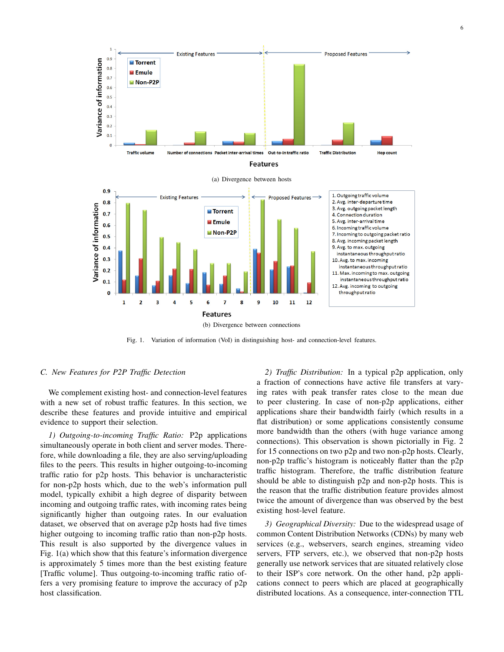

Fig. 1. Variation of information (VoI) in distinguishing host- and connection-level features.

# *C. New Features for P2P Traffic Detection*

We complement existing host- and connection-level features with a new set of robust traffic features. In this section, we describe these features and provide intuitive and empirical evidence to support their selection.

*1) Outgoing-to-incoming Traffic Ratio:* P2p applications simultaneously operate in both client and server modes. Therefore, while downloading a file, they are also serving/uploading files to the peers. This results in higher outgoing-to-incoming traffic ratio for p2p hosts. This behavior is uncharacteristic for non-p2p hosts which, due to the web's information pull model, typically exhibit a high degree of disparity between incoming and outgoing traffic rates, with incoming rates being significantly higher than outgoing rates. In our evaluation dataset, we observed that on average p2p hosts had five times higher outgoing to incoming traffic ratio than non-p2p hosts. This result is also supported by the divergence values in Fig. 1(a) which show that this feature's information divergence is approximately 5 times more than the best existing feature [Traffic volume]. Thus outgoing-to-incoming traffic ratio offers a very promising feature to improve the accuracy of p2p host classification.

*2) Traffic Distribution:* In a typical p2p application, only a fraction of connections have active file transfers at varying rates with peak transfer rates close to the mean due to peer clustering. In case of non-p2p applications, either applications share their bandwidth fairly (which results in a flat distribution) or some applications consistently consume more bandwidth than the others (with huge variance among connections). This observation is shown pictorially in Fig. 2 for 15 connections on two p2p and two non-p2p hosts. Clearly, non-p2p traffic's histogram is noticeably flatter than the p2p traffic histogram. Therefore, the traffic distribution feature should be able to distinguish p2p and non-p2p hosts. This is the reason that the traffic distribution feature provides almost twice the amount of divergence than was observed by the best existing host-level feature.

*3) Geographical Diversity:* Due to the widespread usage of common Content Distribution Networks (CDNs) by many web services (e.g., webservers, search engines, streaming video servers, FTP servers, etc.), we observed that non-p2p hosts generally use network services that are situated relatively close to their ISP's core network. On the other hand, p2p applications connect to peers which are placed at geographically distributed locations. As a consequence, inter-connection TTL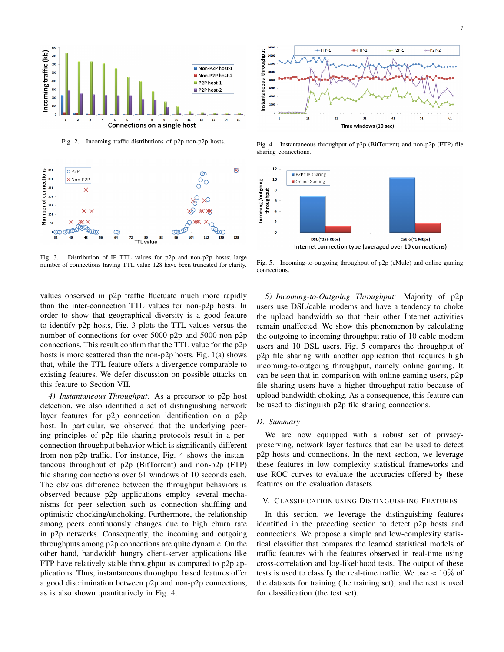



Fig. 2. Incoming traffic distributions of p2p non-p2p hosts.



Fig. 3. Distribution of IP TTL values for p2p and non-p2p hosts; large number of connections having TTL value 128 have been truncated for clarity.



Fig. 4. Instantaneous throughput of p2p (BitTorrent) and non-p2p (FTP) file sharing connections.



Fig. 5. Incoming-to-outgoing throughput of p2p (eMule) and online gaming connections.

values observed in p2p traffic fluctuate much more rapidly than the inter-connection TTL values for non-p2p hosts. In order to show that geographical diversity is a good feature to identify p2p hosts, Fig. 3 plots the TTL values versus the number of connections for over 5000 p2p and 5000 non-p2p connections. This result confirm that the TTL value for the p2p hosts is more scattered than the non-p2p hosts. Fig. 1(a) shows that, while the TTL feature offers a divergence comparable to existing features. We defer discussion on possible attacks on this feature to Section VII.

*4) Instantaneous Throughput:* As a precursor to p2p host detection, we also identified a set of distinguishing network layer features for p2p connection identification on a p2p host. In particular, we observed that the underlying peering principles of p2p file sharing protocols result in a perconnection throughput behavior which is significantly different from non-p2p traffic. For instance, Fig. 4 shows the instantaneous throughput of p2p (BitTorrent) and non-p2p (FTP) file sharing connections over 61 windows of 10 seconds each. The obvious difference between the throughput behaviors is observed because p2p applications employ several mechanisms for peer selection such as connection shuffling and optimistic chocking/unchoking. Furthermore, the relationship among peers continuously changes due to high churn rate in p2p networks. Consequently, the incoming and outgoing throughputs among p2p connections are quite dynamic. On the other hand, bandwidth hungry client-server applications like FTP have relatively stable throughput as compared to p2p applications. Thus, instantaneous throughput based features offer a good discrimination between p2p and non-p2p connections, as is also shown quantitatively in Fig. 4.

*5) Incoming-to-Outgoing Throughput:* Majority of p2p users use DSL/cable modems and have a tendency to choke the upload bandwidth so that their other Internet activities remain unaffected. We show this phenomenon by calculating the outgoing to incoming throughput ratio of 10 cable modem users and 10 DSL users. Fig. 5 compares the throughput of p2p file sharing with another application that requires high incoming-to-outgoing throughput, namely online gaming. It can be seen that in comparison with online gaming users, p2p file sharing users have a higher throughput ratio because of upload bandwidth choking. As a consequence, this feature can be used to distinguish p2p file sharing connections.

# *D. Summary*

We are now equipped with a robust set of privacypreserving, network layer features that can be used to detect p2p hosts and connections. In the next section, we leverage these features in low complexity statistical frameworks and use ROC curves to evaluate the accuracies offered by these features on the evaluation datasets.

# V. CLASSIFICATION USING DISTINGUISHING FEATURES

In this section, we leverage the distinguishing features identified in the preceding section to detect p2p hosts and connections. We propose a simple and low-complexity statistical classifier that compares the learned statistical models of traffic features with the features observed in real-time using cross-correlation and log-likelihood tests. The output of these tests is used to classify the real-time traffic. We use  $\approx 10\%$  of the datasets for training (the training set), and the rest is used for classification (the test set).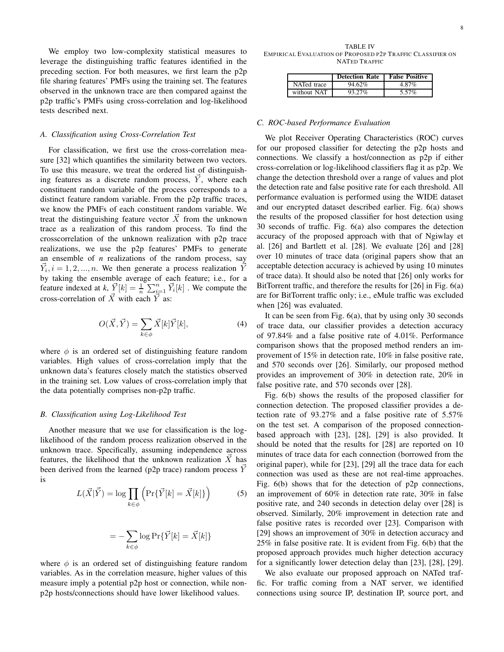8

We employ two low-complexity statistical measures to leverage the distinguishing traffic features identified in the preceding section. For both measures, we first learn the p2p file sharing features' PMFs using the training set. The features observed in the unknown trace are then compared against the p2p traffic's PMFs using cross-correlation and log-likelihood tests described next.

## *A. Classification using Cross-Correlation Test*

For classification, we first use the cross-correlation measure [32] which quantifies the similarity between two vectors. To use this measure, we treat the ordered list of distinguishing features as a discrete random process,  $\overline{Y}$ , where each constituent random variable of the process corresponds to a distinct feature random variable. From the p2p traffic traces, we know the PMFs of each constituent random variable. We treat the distinguishing feature vector  $\vec{X}$  from the unknown trace as a realization of this random process. To find the crosscorrelation of the unknown realization with p2p trace realizations, we use the p2p features' PMFs to generate an ensemble of *n* realizations of the random process, say  $\vec{Y}_i, i = 1, 2, ..., n$ . We then generate a process realization  $\overline{\vec{Y}}$ by taking the ensemble average of each feature; i.e., for a feature indexed at k,  $\vec{Y}[k] = \frac{1}{n} \sum_{i=1}^{n} \vec{Y}_i[k]$ . We compute the cross-correlation of  $\vec{X}$  with each  $\vec{Y}$  as:

$$
O(\vec{X}, \vec{Y}) = \sum_{k \in \phi} \vec{X}[k] \vec{Y}[k],\tag{4}
$$

where  $\phi$  is an ordered set of distinguishing feature random variables. High values of cross-correlation imply that the unknown data's features closely match the statistics observed in the training set. Low values of cross-correlation imply that the data potentially comprises non-p2p traffic.

#### *B. Classification using Log-Likelihood Test*

Another measure that we use for classification is the loglikelihood of the random process realization observed in the unknown trace. Specifically, assuming independence across features, the likelihood that the unknown realization  $X~$  has been derived from the learned (p2p trace) random process Y is

$$
L(\vec{X}|\vec{Y}) = \log \prod_{k \in \phi} \left( \Pr\{\vec{Y}[k] = \vec{X}[k]\} \right) \tag{5}
$$

$$
= -\sum_{k\in\phi}\log\text{Pr}\{\vec{Y}[k]=\vec{X}[k]\}
$$

where  $\phi$  is an ordered set of distinguishing feature random variables. As in the correlation measure, higher values of this measure imply a potential p2p host or connection, while nonp2p hosts/connections should have lower likelihood values.

TABLE IV EMPIRICAL EVALUATION OF PROPOSED P2P TRAFFIC CLASSIFIER ON NATED TRAFFIC

|             | <b>Detection Rate</b> | <b>False Positive</b> |
|-------------|-----------------------|-----------------------|
| NATed trace | 94.62%                | 4.87%                 |
| without NAT | 93.27%                | 5.57%                 |

# *C. ROC-based Performance Evaluation*

We plot Receiver Operating Characteristics (ROC) curves for our proposed classifier for detecting the p2p hosts and connections. We classify a host/connection as p2p if either cross-correlation or log-likelihood classifiers flag it as p2p. We change the detection threshold over a range of values and plot the detection rate and false positive rate for each threshold. All performance evaluation is performed using the WIDE dataset and our encrypted dataset described earlier. Fig. 6(a) shows the results of the proposed classifier for host detection using 30 seconds of traffic. Fig. 6(a) also compares the detection accuracy of the proposed approach with that of Ngiwlay et al. [26] and Bartlett et al. [28]. We evaluate [26] and [28] over 10 minutes of trace data (original papers show that an acceptable detection accuracy is achieved by using 10 minutes of trace data). It should also be noted that [26] only works for BitTorrent traffic, and therefore the results for [26] in Fig. 6(a) are for BitTorrent traffic only; i.e., eMule traffic was excluded when [26] was evaluated.

It can be seen from Fig. 6(a), that by using only 30 seconds of trace data, our classifier provides a detection accuracy of 97.84% and a false positive rate of 4.01%. Performance comparison shows that the proposed method renders an improvement of 15% in detection rate, 10% in false positive rate, and 570 seconds over [26]. Similarly, our proposed method provides an improvement of 30% in detection rate, 20% in false positive rate, and 570 seconds over [28].

Fig. 6(b) shows the results of the proposed classifier for connection detection. The proposed classifier provides a detection rate of 93.27% and a false positive rate of 5.57% on the test set. A comparison of the proposed connectionbased approach with [23], [28], [29] is also provided. It should be noted that the results for [28] are reported on 10 minutes of trace data for each connection (borrowed from the original paper), while for [23], [29] all the trace data for each connection was used as these are not real-time approaches. Fig. 6(b) shows that for the detection of p2p connections, an improvement of 60% in detection rate rate, 30% in false positive rate, and 240 seconds in detection delay over [28] is observed. Similarly, 20% improvement in detection rate and false positive rates is recorded over [23]. Comparison with [29] shows an improvement of 30% in detection accuracy and 25% in false positive rate. It is evident from Fig. 6(b) that the proposed approach provides much higher detection accuracy for a significantly lower detection delay than [23], [28], [29].

We also evaluate our proposed approach on NATed traffic. For traffic coming from a NAT server, we identified connections using source IP, destination IP, source port, and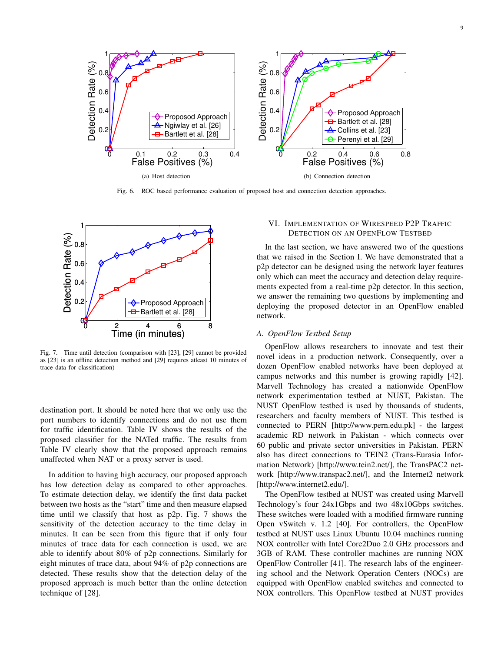

Fig. 6. ROC based performance evaluation of proposed host and connection detection approaches.



Fig. 7. Time until detection (comparison with [23], [29] cannot be provided as [23] is an offline detection method and [29] requires atleast 10 minutes of trace data for classification)

destination port. It should be noted here that we only use the port numbers to identify connections and do not use them for traffic identification. Table IV shows the results of the proposed classifier for the NATed traffic. The results from Table IV clearly show that the proposed approach remains unaffected when NAT or a proxy server is used.

In addition to having high accuracy, our proposed approach has low detection delay as compared to other approaches. To estimate detection delay, we identify the first data packet between two hosts as the "start" time and then measure elapsed time until we classify that host as p2p. Fig. 7 shows the sensitivity of the detection accuracy to the time delay in minutes. It can be seen from this figure that if only four minutes of trace data for each connection is used, we are able to identify about 80% of p2p connections. Similarly for eight minutes of trace data, about 94% of p2p connections are detected. These results show that the detection delay of the proposed approach is much better than the online detection technique of [28].

# VI. IMPLEMENTATION OF WIRESPEED P2P TRAFFIC DETECTION ON AN OPENFLOW TESTBED

In the last section, we have answered two of the questions that we raised in the Section I. We have demonstrated that a p2p detector can be designed using the network layer features only which can meet the accuracy and detection delay requirements expected from a real-time p2p detector. In this section, we answer the remaining two questions by implementing and deploying the proposed detector in an OpenFlow enabled network.

# *A. OpenFlow Testbed Setup*

OpenFlow allows researchers to innovate and test their novel ideas in a production network. Consequently, over a dozen OpenFlow enabled networks have been deployed at campus networks and this number is growing rapidly [42]. Marvell Technology has created a nationwide OpenFlow network experimentation testbed at NUST, Pakistan. The NUST OpenFlow testbed is used by thousands of students, researchers and faculty members of NUST. This testbed is connected to PERN [http://www.pern.edu.pk] - the largest academic RD network in Pakistan - which connects over 60 public and private sector universities in Pakistan. PERN also has direct connections to TEIN2 (Trans-Eurasia Information Network) [http://www.tein2.net/], the TransPAC2 network [http://www.transpac2.net/], and the Internet2 network [http://www.internet2.edu/].

The OpenFlow testbed at NUST was created using Marvell Technology's four 24x1Gbps and two 48x10Gbps switches. These switches were loaded with a modified firmware running Open vSwitch v. 1.2 [40]. For controllers, the OpenFlow testbed at NUST uses Linux Ubuntu 10.04 machines running NOX controller with Intel Core2Duo 2.0 GHz processors and 3GB of RAM. These controller machines are running NOX OpenFlow Controller [41]. The research labs of the engineering school and the Network Operation Centers (NOCs) are equipped with OpenFlow enabled switches and connected to NOX controllers. This OpenFlow testbed at NUST provides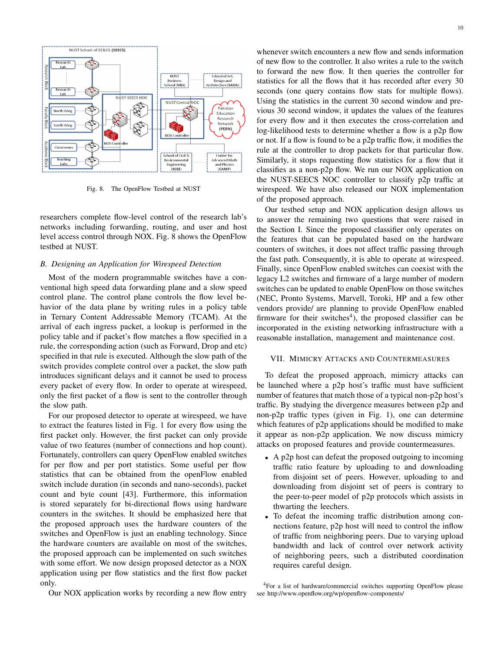

Fig. 8. The OpenFlow Testbed at NUST

researchers complete flow-level control of the research lab's networks including forwarding, routing, and user and host level access control through NOX. Fig. 8 shows the OpenFlow testbed at NUST.

## *B. Designing an Application for Wirespeed Detection*

Most of the modern programmable switches have a conventional high speed data forwarding plane and a slow speed control plane. The control plane controls the flow level behavior of the data plane by writing rules in a policy table in Ternary Content Addressable Memory (TCAM). At the arrival of each ingress packet, a lookup is performed in the policy table and if packet's flow matches a flow specified in a rule, the corresponding action (such as Forward, Drop and etc) specified in that rule is executed. Although the slow path of the switch provides complete control over a packet, the slow path introduces significant delays and it cannot be used to process every packet of every flow. In order to operate at wirespeed, only the first packet of a flow is sent to the controller through the slow path.

For our proposed detector to operate at wirespeed, we have to extract the features listed in Fig. 1 for every flow using the first packet only. However, the first packet can only provide value of two features (number of connections and hop count). Fortunately, controllers can query OpenFlow enabled switches for per flow and per port statistics. Some useful per flow statistics that can be obtained from the openFlow enabled switch include duration (in seconds and nano-seconds), packet count and byte count [43]. Furthermore, this information is stored separately for bi-directional flows using hardware counters in the switches. It should be emphasized here that the proposed approach uses the hardware counters of the switches and OpenFlow is just an enabling technology. Since the hardware counters are available on most of the switches, the proposed approach can be implemented on such switches with some effort. We now design proposed detector as a NOX application using per flow statistics and the first flow packet only.

Our NOX application works by recording a new flow entry

whenever switch encounters a new flow and sends information of new flow to the controller. It also writes a rule to the switch to forward the new flow. It then queries the controller for statistics for all the flows that it has recorded after every 30 seconds (one query contains flow stats for multiple flows). Using the statistics in the current 30 second window and previous 30 second window, it updates the values of the features for every flow and it then executes the cross-correlation and log-likelihood tests to determine whether a flow is a p2p flow or not. If a flow is found to be a p2p traffic flow, it modifies the rule at the controller to drop packets for that particular flow. Similarly, it stops requesting flow statistics for a flow that it classifies as a non-p2p flow. We run our NOX application on the NUST-SEECS NOC controller to classify p2p traffic at wirespeed. We have also released our NOX implementation of the proposed approach.

Our testbed setup and NOX application design allows us to answer the remaining two questions that were raised in the Section I. Since the proposed classifier only operates on the features that can be populated based on the hardware counters of switches, it does not affect traffic passing through the fast path. Consequently, it is able to operate at wirespeed. Finally, since OpenFlow enabled switches can coexist with the legacy L2 switches and firmware of a large number of modern switches can be updated to enable OpenFlow on those switches (NEC, Pronto Systems, Marvell, Toroki, HP and a few other vendors provide/ are planning to provide OpenFlow enabled firmware for their switches<sup>4</sup>), the proposed classifier can be incorporated in the existing networking infrastructure with a reasonable installation, management and maintenance cost.

# VII. MIMICRY ATTACKS AND COUNTERMEASURES

To defeat the proposed approach, mimicry attacks can be launched where a p2p host's traffic must have sufficient number of features that match those of a typical non-p2p host's traffic. By studying the divergence measures between p2p and non-p2p traffic types (given in Fig. 1), one can determine which features of p2p applications should be modified to make it appear as non-p2p application. We now discuss mimicry attacks on proposed features and provide countermeasures.

- A p2p host can defeat the proposed outgoing to incoming traffic ratio feature by uploading to and downloading from disjoint set of peers. However, uploading to and downloading from disjoint set of peers is contrary to the peer-to-peer model of p2p protocols which assists in thwarting the leechers.
- To defeat the incoming traffic distribution among connections feature, p2p host will need to control the inflow of traffic from neighboring peers. Due to varying upload bandwidth and lack of control over network activity of neighboring peers, such a distributed coordination requires careful design.

<sup>4</sup>For a list of hardware/commercial switches supporting OpenFlow please see http://www.openflow.org/wp/openflow-components/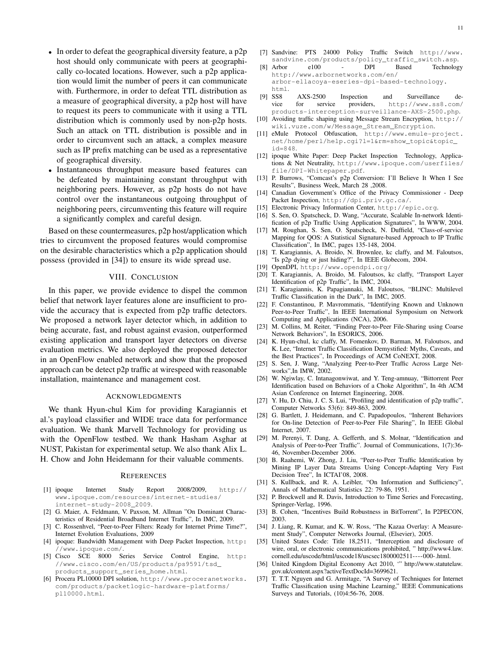- In order to defeat the geographical diversity feature, a p2p host should only communicate with peers at geographically co-located locations. However, such a p2p application would limit the number of peers it can communicate with. Furthermore, in order to defeat TTL distribution as a measure of geographical diversity, a p2p host will have to request its peers to communicate with it using a TTL distribution which is commonly used by non-p2p hosts. Such an attack on TTL distribution is possible and in order to circumvent such an attack, a complex measure such as IP prefix matching can be used as a representative of geographical diversity.
- Instantaneous throughput measure based features can be defeated by maintaining constant throughput with neighboring peers. However, as p2p hosts do not have control over the instantaneous outgoing throughput of neighboring peers, circumventing this feature will require a significantly complex and careful design.

Based on these countermeasures, p2p host/application which tries to circumvent the proposed features would compromise on the desirable characteristics which a p2p application should possess (provided in [34]) to ensure its wide spread use.

# VIII. CONCLUSION

In this paper, we provide evidence to dispel the common belief that network layer features alone are insufficient to provide the accuracy that is expected from p2p traffic detectors. We proposed a network layer detector which, in addition to being accurate, fast, and robust against evasion, outperformed existing application and transport layer detectors on diverse evaluation metrics. We also deployed the proposed detector in an OpenFlow enabled network and show that the proposed approach can be detect p2p traffic at wirespeed with reasonable installation, maintenance and management cost.

## ACKNOWLEDGMENTS

We thank Hyun-chul Kim for providing Karagiannis et al.'s payload classifier and WIDE trace data for performance evaluation. We thank Marvell Technology for providing us with the OpenFlow testbed. We thank Hasham Asghar at NUST, Pakistan for experimental setup. We also thank Alix L. H. Chow and John Heidemann for their valuable comments.

## **REFERENCES**

- [1] ipoque Internet Study Report 2008/2009, http:// www.ipoque.com/resources/internet-studies/ internet-study-2008\_2009.
- [2] G. Maier, A. Feldmann, V. Paxson, M. Allman "On Dominant Characteristics of Residential Broadband Internet Traffic", In IMC, 2009.
- [3] C. Rossenhvel, "Peer-to-Peer Filters: Ready for Internet Prime Time?", Internet Evolution Evaluations, 2009
- [4] ipoque: Bandwidth Management with Deep Packet Inspection, http: //www.ipoque.com/.
- [5] Cisco SCE 8000 Series Service Control Engine, http: //www.cisco.com/en/US/products/ps9591/tsd\_ products\_support\_series\_home.html.
- [6] Procera PL10000 DPI solution, http://www.proceranetworks. com/products/packetlogic-hardware-platforms/ pl10000.html.
- [7] Sandvine: PTS 24000 Policy Traffic Switch http://www.
- sandvine.com/products/policy\_traffic\_switch.asp.<br>Arbor e100 DPI Based Technolog [8] Arbor e100 - DPI Based Technology http://www.arbornetworks.com/en/ arbor-ellacoya-eseries-dpi-based-technology.
- html. [9] SS8 AXS-2500 Inspection and Surveillance de-
- vice for service providers, http://www.ss8.com/ products-interception-surveillance-AXS-2500.php. [10] Avoiding traffic shaping using Message Stream Encryption, http://
- wiki.vuze.com/w/Message\_Stream\_Encryption.
- [11] eMule Protocol Obfuscation, http://www.emule-project. net/home/perl/help.cgi?l=1&rm=show\_topic&topic\_ id=848.
- [12] ipoque White Paper: Deep Packet Inspection Technology, Applications & Net Neutrality, http://www.ipoque.com/userfiles/ file/DPI-Whitepaper.pdf.
- [13] P. Burrows, "Comcast's p2p Conversion: I'll Believe It When I See Results", Business Week, March 28 ,2008.
- [14] Canadian Government's Office of the Privacy Commissioner Deep Packet Inspection, http://dpi.priv.gc.ca/.
- [15] Electronic Privacy Information Center, http://epic.org.
- [16] S. Sen, O. Spatscheck, D. Wang, "Accurate, Scalable In-network Identification of p2p Traffic Using Application Signatures", In WWW, 2004.
- [17] M. Roughan, S. Sen, O. Spatscheck, N. Duffield, "Class-of-service Mapping for QOS: A Statistical Signature-based Approach to IP Traffic Classification", In IMC, pages 135-148, 2004.
- [18] T. Karagiannis, A. Broido, N. Brownlee, kc claffy, and M. Faloutsos, "Is p2p dying or just hiding?", In IEEE Globecom, 2004.
- [19] OpenDPI, http://www.opendpi.org/
- [20] T. Karagiannis, A. Broido, M. Faloutsos, kc claffy, "Transport Layer Identification of p2p Traffic", In IMC, 2004.
- [21] T. Karagiannis, K. Papagiannaki, M. Faloutsos, "BLINC: Multilevel Traffic Classification in the Dark", In IMC, 2005.
- [22] F. Constantinou, P. Mavrommatis, "Identifying Known and Unknown Peer-to-Peer Traffic", In IEEE International Symposium on Network Computing and Applications (NCA), 2006.
- [23] M. Collins, M. Reiter, "Finding Peer-to-Peer File-Sharing using Coarse Network Behaviors", In ESORICS, 2006.
- [24] K. Hyun-chul, kc claffy, M. Fomenkov, D. Barman, M. Faloutsos, and K. Lee, "Internet Traffic Classification Demystified: Myths, Caveats, and the Best Practices", In Proceedings of ACM CoNEXT, 2008.
- [25] S. Sen, J. Wang, "Analyzing Peer-to-Peer Traffic Across Large Networks",In IMW, 2002.
- [26] W. Ngiwlay, C. Intanagonwiwat, and Y. Teng-amnuay, "Bittorrent Peer Identification based on Behaviors of a Choke Algorithm", In 4th ACM Asian Conference on Internet Engineering, 2008.
- [27] Y. Hu, D. Chiu, J. C. S. Lui, "Profiling and identification of p2p traffic", Computer Networks 53(6): 849-863, 2009.
- [28] G. Bartlett, J. Heidemann, and C. Papadopoulos, "Inherent Behaviors for On-line Detection of Peer-to-Peer File Sharing", In IEEE Global Internet, 2007.
- [29] M. Perenyi, T. Dang, A. Gefferth, and S. Molnar, "Identification and Analysis of Peer-to-Peer Traffic". Journal of Communications, 1(7):36- 46, November-December 2006.
- [30] B. Raahemi, W. Zhong, J. Liu, "Peer-to-Peer Traffic Identification by Mining IP Layer Data Streams Using Concept-Adapting Very Fast Decision Tree", In ICTAI'08, 2008.
- [31] S. Kullback, and R. A. Leibler, "On Information and Sufficiency", Annals of Mathematical Statistics 22: 79-86, 1951.
- [32] P. Brockwell and R. Davis, Introduction to Time Series and Forecasting, Springer-Verlag, 1996.
- [33] B. Cohen, "Incentives Build Robustness in BitTorrent", In P2PECON, 2003.
- [34] J. Liang, R. Kumar, and K. W. Ross, "The Kazaa Overlay: A Measurement Study", Computer Networks Journal, (Elsevier), 2005.
- [35] United States Code: Title 18,2511, "Interception and disclosure of wire, oral, or electronic communications prohibited, " http://www4.law. cornell.edu/uscode/html/uscode18/uscsec1800002511----000-.html.
- [36] United Kingdom Digital Economy Act 2010, '" http://www.statutelaw. gov.uk/content.aspx?activeTextDocId=3699621.
- [37] T. T.T. Nguyen and G. Armitage, "A Survey of Techniques for Internet Traffic Classification using Machine Learning," IEEE Communications Surveys and Tutorials, (10)4:56-76, 2008.